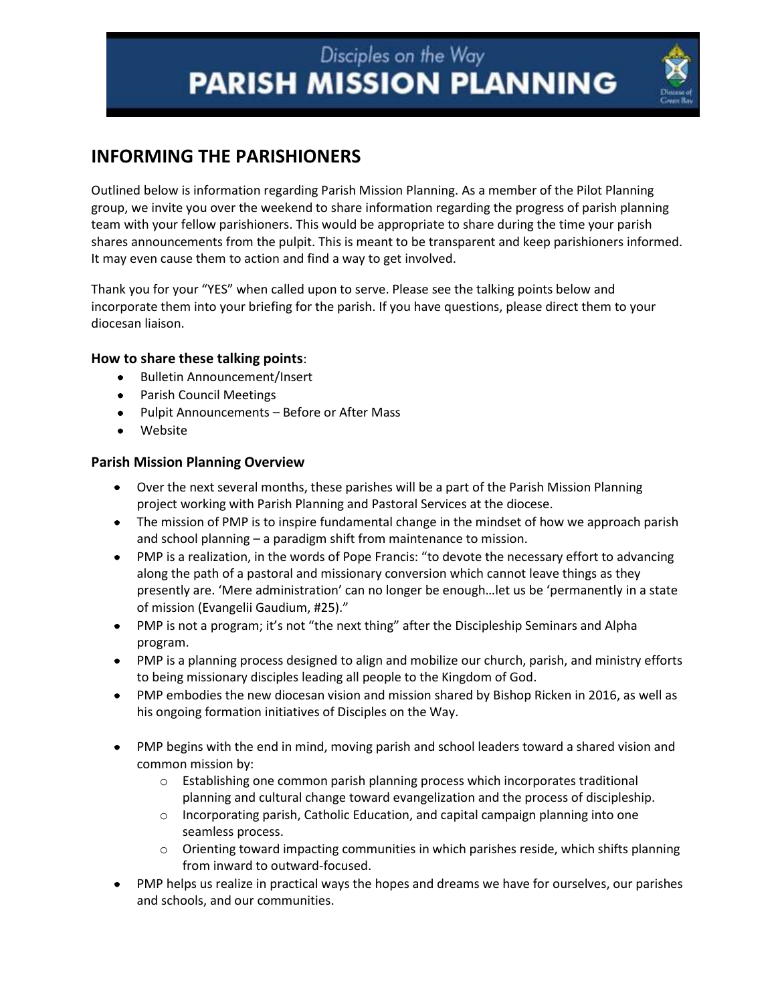### **INFORMING THE PARISHIONERS**

Outlined below is information regarding Parish Mission Planning. As a member of the Pilot Planning group, we invite you over the weekend to share information regarding the progress of parish planning team with your fellow parishioners. This would be appropriate to share during the time your parish shares announcements from the pulpit. This is meant to be transparent and keep parishioners informed. It may even cause them to action and find a way to get involved.

Thank you for your "YES" when called upon to serve. Please see the talking points below and incorporate them into your briefing for the parish. If you have questions, please direct them to your diocesan liaison.

#### **How to share these talking points**:

- Bulletin Announcement/Insert
- Parish Council Meetings
- Pulpit Announcements Before or After Mass
- Website

#### **Parish Mission Planning Overview**

- Over the next several months, these parishes will be a part of the Parish Mission Planning project working with Parish Planning and Pastoral Services at the diocese.
- The mission of PMP is to inspire fundamental change in the mindset of how we approach parish and school planning – a paradigm shift from maintenance to mission.
- PMP is a realization, in the words of Pope Francis: "to devote the necessary effort to advancing along the path of a pastoral and missionary conversion which cannot leave things as they presently are. 'Mere administration' can no longer be enough…let us be 'permanently in a state of mission (Evangelii Gaudium, #25)."
- PMP is not a program; it's not "the next thing" after the Discipleship Seminars and Alpha program.
- PMP is a planning process designed to align and mobilize our church, parish, and ministry efforts to being missionary disciples leading all people to the Kingdom of God.
- PMP embodies the new diocesan vision and mission shared by Bishop Ricken in 2016, as well as his ongoing formation initiatives of Disciples on the Way.
- PMP begins with the end in mind, moving parish and school leaders toward a shared vision and common mission by:
	- $\circ$  Establishing one common parish planning process which incorporates traditional planning and cultural change toward evangelization and the process of discipleship.
	- $\circ$  Incorporating parish, Catholic Education, and capital campaign planning into one seamless process.
	- $\circ$  Orienting toward impacting communities in which parishes reside, which shifts planning from inward to outward-focused.
- PMP helps us realize in practical ways the hopes and dreams we have for ourselves, our parishes and schools, and our communities.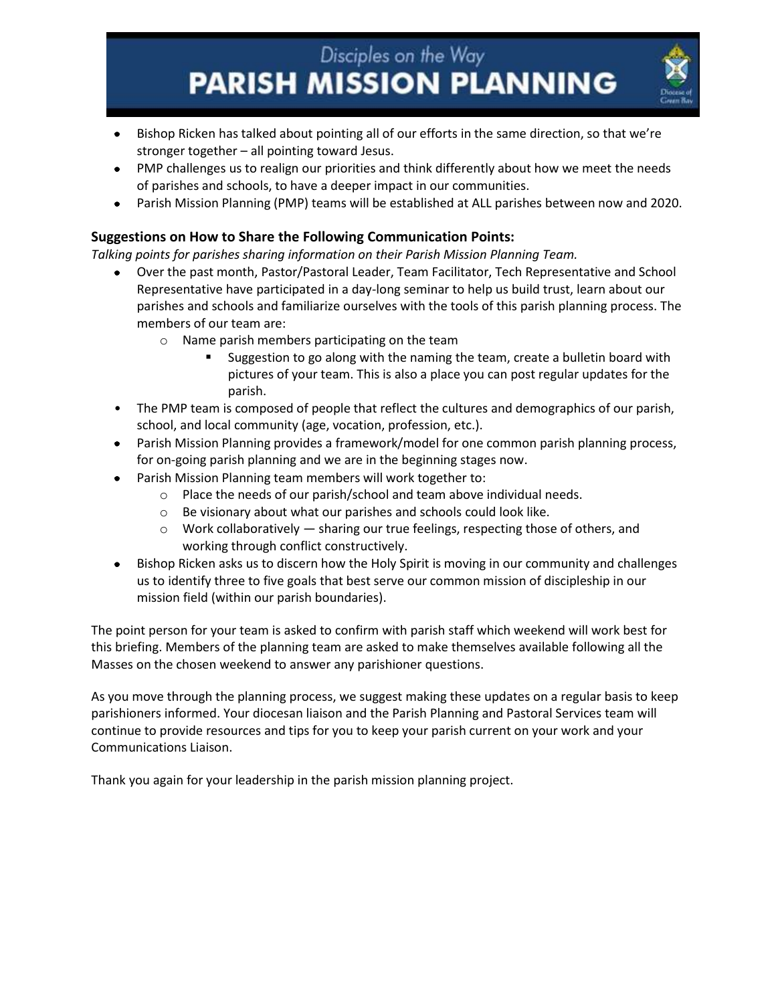

- PMP challenges us to realign our priorities and think differently about how we meet the needs of parishes and schools, to have a deeper impact in our communities.
- Parish Mission Planning (PMP) teams will be established at ALL parishes between now and 2020.

#### **Suggestions on How to Share the Following Communication Points:**

*Talking points for parishes sharing information on their Parish Mission Planning Team.*

- Over the past month, Pastor/Pastoral Leader, Team Facilitator, Tech Representative and School Representative have participated in a day-long seminar to help us build trust, learn about our parishes and schools and familiarize ourselves with the tools of this parish planning process. The members of our team are:
	- o Name parish members participating on the team
		- Suggestion to go along with the naming the team, create a bulletin board with pictures of your team. This is also a place you can post regular updates for the parish.
- The PMP team is composed of people that reflect the cultures and demographics of our parish, school, and local community (age, vocation, profession, etc.).
- Parish Mission Planning provides a framework/model for one common parish planning process, for on-going parish planning and we are in the beginning stages now.
- Parish Mission Planning team members will work together to:
	- o Place the needs of our parish/school and team above individual needs.
	- o Be visionary about what our parishes and schools could look like.
	- $\circ$  Work collaboratively  $-$  sharing our true feelings, respecting those of others, and working through conflict constructively.
- Bishop Ricken asks us to discern how the Holy Spirit is moving in our community and challenges us to identify three to five goals that best serve our common mission of discipleship in our mission field (within our parish boundaries).

The point person for your team is asked to confirm with parish staff which weekend will work best for this briefing. Members of the planning team are asked to make themselves available following all the Masses on the chosen weekend to answer any parishioner questions.

As you move through the planning process, we suggest making these updates on a regular basis to keep parishioners informed. Your diocesan liaison and the Parish Planning and Pastoral Services team will continue to provide resources and tips for you to keep your parish current on your work and your Communications Liaison.

Thank you again for your leadership in the parish mission planning project.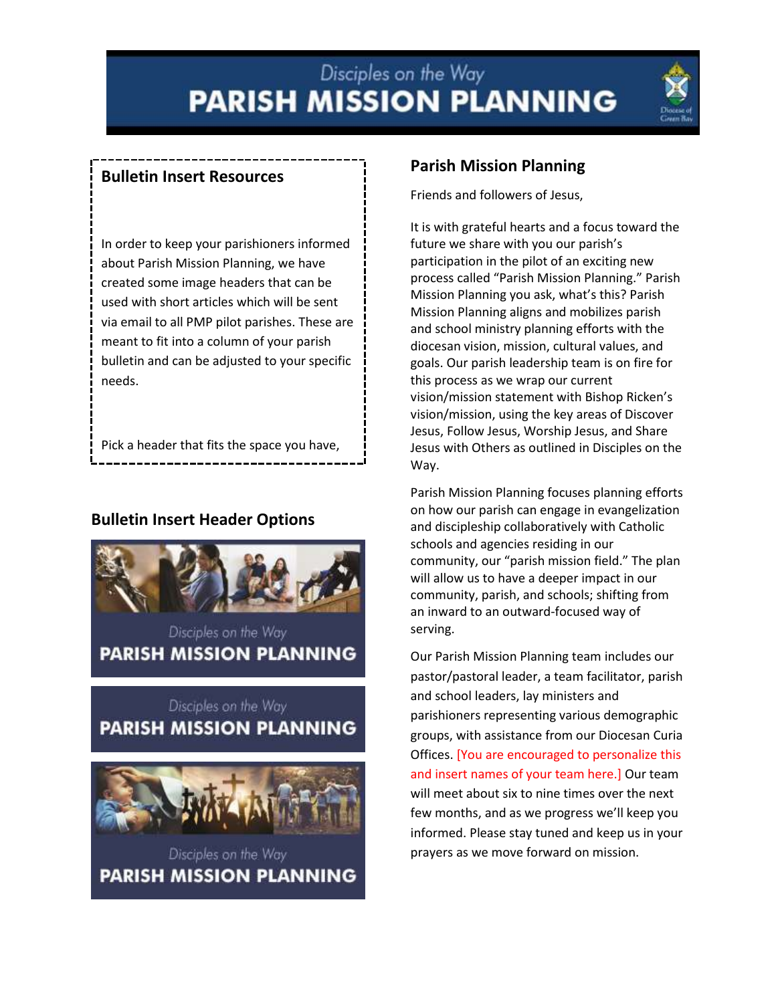

#### **Bulletin Insert Resources**

In order to keep your parishioners informed about Parish Mission Planning, we have created some image headers that can be used with short articles which will be sent via email to all PMP pilot parishes. These are meant to fit into a column of your parish bulletin and can be adjusted to your specific needs.

Pick a header that fits the space you have, personalize the text with your parish's

#### **Bulletin Insert Header Options**



**PARISH MISSION PLANNING** 

### Disciples on the Way **PARISH MISSION PLANNING**



Disciples on the Way **PARISH MISSION PLANNING** 

#### **Parish Mission Planning**

Friends and followers of Jesus,

It is with grateful hearts and a focus toward the future we share with you our parish's participation in the pilot of an exciting new process called "Parish Mission Planning." Parish Mission Planning you ask, what's this? Parish Mission Planning aligns and mobilizes parish and school ministry planning efforts with the diocesan vision, mission, cultural values, and goals. Our parish leadership team is on fire for this process as we wrap our current vision/mission statement with Bishop Ricken's vision/mission, using the key areas of Discover Jesus, Follow Jesus, Worship Jesus, and Share Jesus with Others as outlined in Disciples on the Way.

Parish Mission Planning focuses planning efforts on how our parish can engage in evangelization and discipleship collaboratively with Catholic schools and agencies residing in our community, our "parish mission field." The plan will allow us to have a deeper impact in our community, parish, and schools; shifting from an inward to an outward-focused way of serving.

Our Parish Mission Planning team includes our pastor/pastoral leader, a team facilitator, parish and school leaders, lay ministers and parishioners representing various demographic groups, with assistance from our Diocesan Curia Offices. [You are encouraged to personalize this and insert names of your team here.] Our team will meet about six to nine times over the next few months, and as we progress we'll keep you informed. Please stay tuned and keep us in your prayers as we move forward on mission.